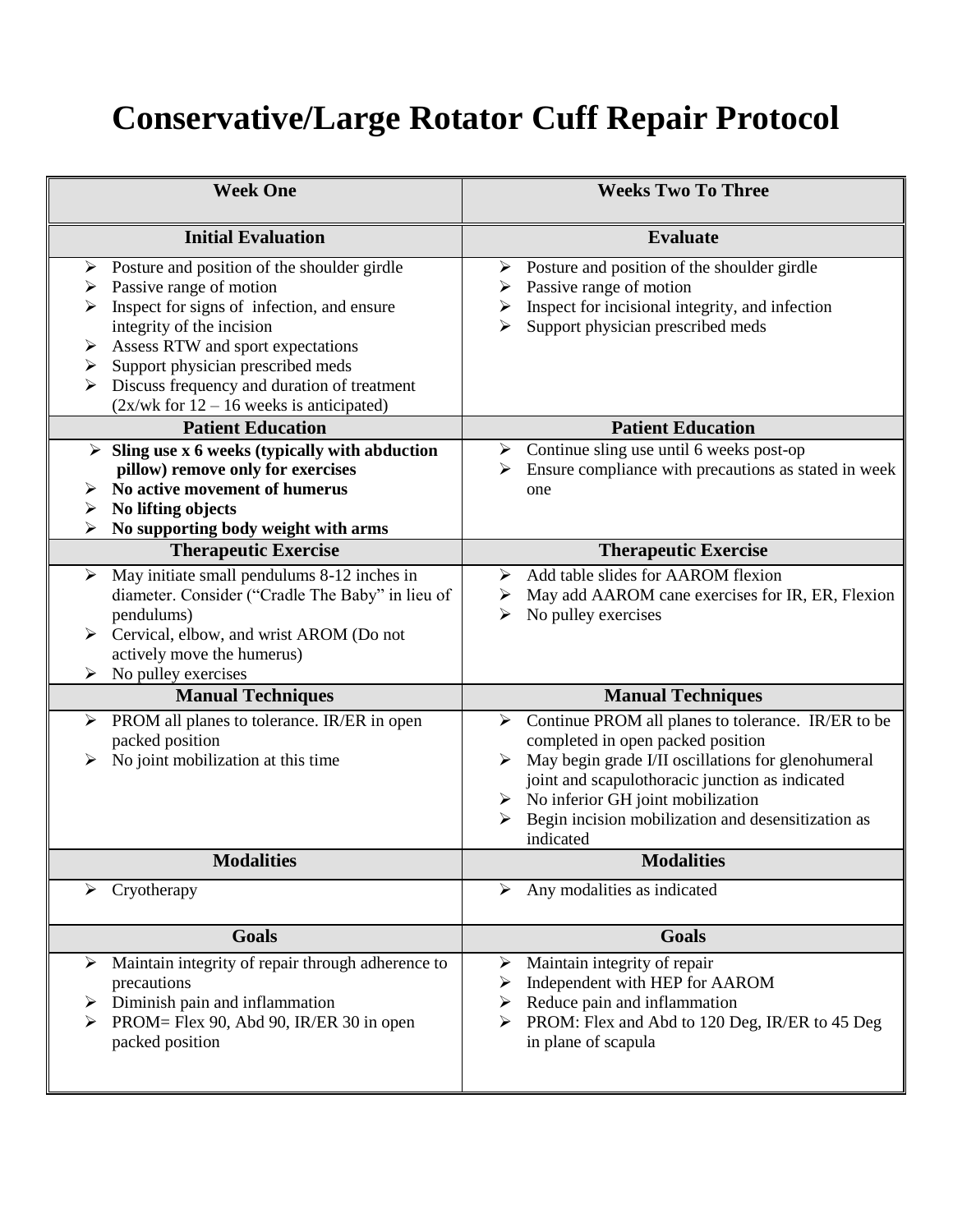## **Conservative/Large Rotator Cuff Repair Protocol**

| <b>Week One</b>                                                                                                                                                                                                                                                                                                                                     | <b>Weeks Two To Three</b>                                                                                                                                                                                                                                                                                               |
|-----------------------------------------------------------------------------------------------------------------------------------------------------------------------------------------------------------------------------------------------------------------------------------------------------------------------------------------------------|-------------------------------------------------------------------------------------------------------------------------------------------------------------------------------------------------------------------------------------------------------------------------------------------------------------------------|
| <b>Initial Evaluation</b>                                                                                                                                                                                                                                                                                                                           | <b>Evaluate</b>                                                                                                                                                                                                                                                                                                         |
| Posture and position of the shoulder girdle<br>➤<br>Passive range of motion<br>➤<br>Inspect for signs of infection, and ensure<br>➤<br>integrity of the incision<br>Assess RTW and sport expectations<br>➤<br>Support physician prescribed meds<br>➤<br>Discuss frequency and duration of treatment<br>$(2x/wk$ for $12 - 16$ weeks is anticipated) | Posture and position of the shoulder girdle<br>➤<br>Passive range of motion<br>➤<br>Inspect for incisional integrity, and infection<br>➤<br>Support physician prescribed meds<br>⋗                                                                                                                                      |
| <b>Patient Education</b>                                                                                                                                                                                                                                                                                                                            | <b>Patient Education</b>                                                                                                                                                                                                                                                                                                |
| Sling use x 6 weeks (typically with abduction<br>pillow) remove only for exercises<br>No active movement of humerus<br>No lifting objects<br>➤<br>No supporting body weight with arms<br>⋗                                                                                                                                                          | $\triangleright$ Continue sling use until 6 weeks post-op<br>Ensure compliance with precautions as stated in week<br>one                                                                                                                                                                                                |
| <b>Therapeutic Exercise</b>                                                                                                                                                                                                                                                                                                                         | <b>Therapeutic Exercise</b>                                                                                                                                                                                                                                                                                             |
| May initiate small pendulums 8-12 inches in<br>➤<br>diameter. Consider ("Cradle The Baby" in lieu of<br>pendulums)<br>Cervical, elbow, and wrist AROM (Do not<br>actively move the humerus)<br>No pulley exercises                                                                                                                                  | Add table slides for AAROM flexion<br>➤<br>May add AAROM cane exercises for IR, ER, Flexion<br>➤<br>No pulley exercises<br>➤                                                                                                                                                                                            |
| <b>Manual Techniques</b>                                                                                                                                                                                                                                                                                                                            | <b>Manual Techniques</b>                                                                                                                                                                                                                                                                                                |
| PROM all planes to tolerance. IR/ER in open<br>↘<br>packed position<br>No joint mobilization at this time                                                                                                                                                                                                                                           | Continue PROM all planes to tolerance. IR/ER to be<br>➤<br>completed in open packed position<br>May begin grade I/II oscillations for glenohumeral<br>≻<br>joint and scapulothoracic junction as indicated<br>No inferior GH joint mobilization<br>➤<br>Begin incision mobilization and desensitization as<br>indicated |
| <b>Modalities</b>                                                                                                                                                                                                                                                                                                                                   | <b>Modalities</b>                                                                                                                                                                                                                                                                                                       |
| Cryotherapy                                                                                                                                                                                                                                                                                                                                         | Any modalities as indicated                                                                                                                                                                                                                                                                                             |
| <b>Goals</b>                                                                                                                                                                                                                                                                                                                                        | <b>Goals</b>                                                                                                                                                                                                                                                                                                            |
| Maintain integrity of repair through adherence to<br>precautions<br>Diminish pain and inflammation<br>PROM= Flex 90, Abd 90, IR/ER 30 in open<br>packed position                                                                                                                                                                                    | Maintain integrity of repair<br>➤<br>Independent with HEP for AAROM<br>➤<br>Reduce pain and inflammation<br>➤<br>PROM: Flex and Abd to 120 Deg, IR/ER to 45 Deg<br>in plane of scapula                                                                                                                                  |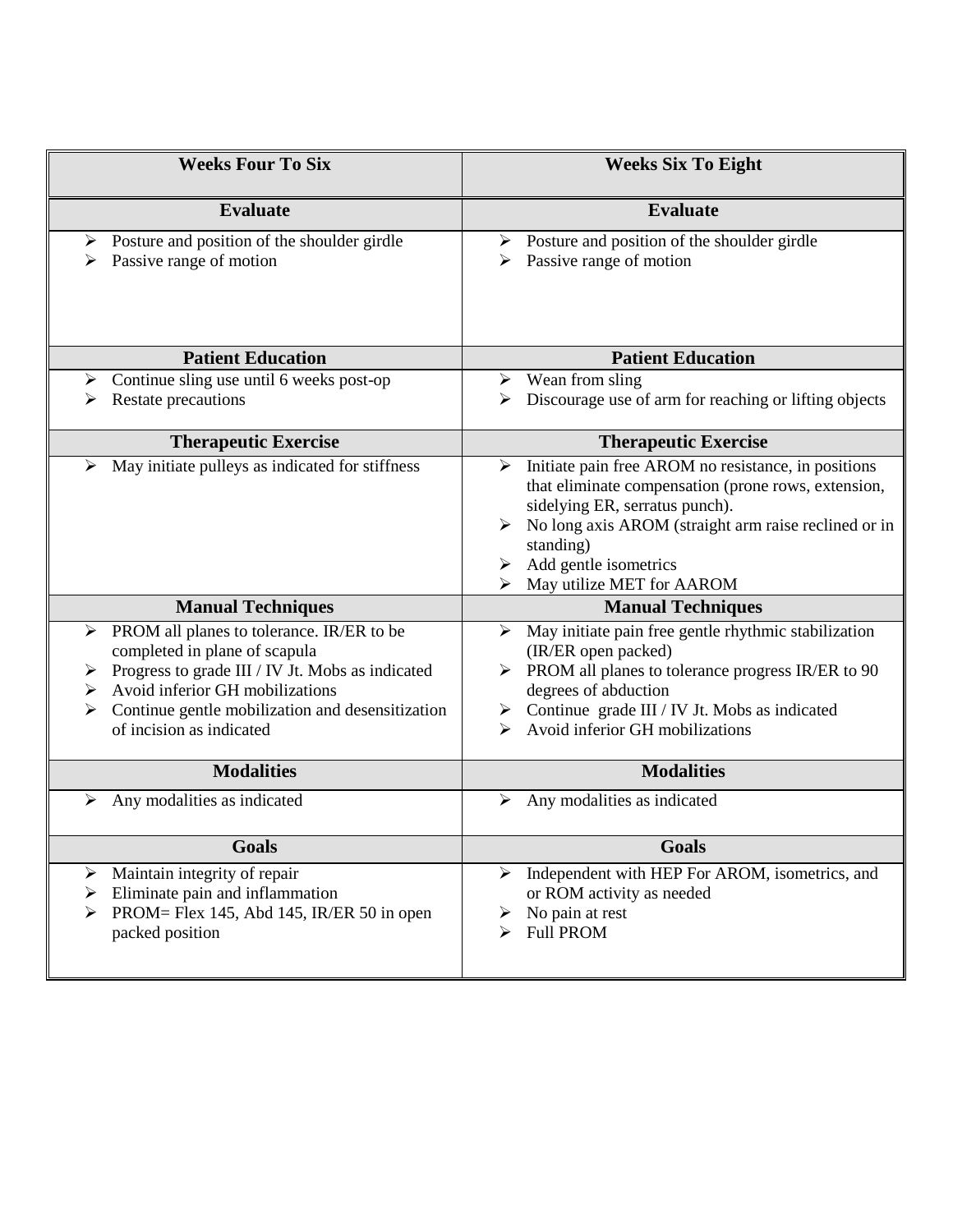| <b>Weeks Four To Six</b>                                                                                                                                                                                                                                              | <b>Weeks Six To Eight</b>                                                                                                                                                                                                                                                    |
|-----------------------------------------------------------------------------------------------------------------------------------------------------------------------------------------------------------------------------------------------------------------------|------------------------------------------------------------------------------------------------------------------------------------------------------------------------------------------------------------------------------------------------------------------------------|
| <b>Evaluate</b>                                                                                                                                                                                                                                                       | <b>Evaluate</b>                                                                                                                                                                                                                                                              |
| Posture and position of the shoulder girdle<br>➤<br>Passive range of motion                                                                                                                                                                                           | Posture and position of the shoulder girdle<br>➤<br>Passive range of motion<br>⋗                                                                                                                                                                                             |
| <b>Patient Education</b>                                                                                                                                                                                                                                              | <b>Patient Education</b>                                                                                                                                                                                                                                                     |
| Continue sling use until 6 weeks post-op<br>➤<br>Restate precautions                                                                                                                                                                                                  | Wean from sling<br>➤<br>Discourage use of arm for reaching or lifting objects                                                                                                                                                                                                |
| <b>Therapeutic Exercise</b>                                                                                                                                                                                                                                           | <b>Therapeutic Exercise</b>                                                                                                                                                                                                                                                  |
| May initiate pulleys as indicated for stiffness<br>➤                                                                                                                                                                                                                  | Initiate pain free AROM no resistance, in positions<br>⋗<br>that eliminate compensation (prone rows, extension,<br>sidelying ER, serratus punch).<br>No long axis AROM (straight arm raise reclined or in<br>standing)<br>Add gentle isometrics<br>May utilize MET for AAROM |
| <b>Manual Techniques</b>                                                                                                                                                                                                                                              | <b>Manual Techniques</b>                                                                                                                                                                                                                                                     |
| PROM all planes to tolerance. IR/ER to be<br>➤<br>completed in plane of scapula<br>Progress to grade III / IV Jt. Mobs as indicated<br>➤<br>Avoid inferior GH mobilizations<br>➤<br>Continue gentle mobilization and desensitization<br>➤<br>of incision as indicated | May initiate pain free gentle rhythmic stabilization<br>➤<br>(IR/ER open packed)<br>PROM all planes to tolerance progress IR/ER to 90<br>degrees of abduction<br>$\triangleright$ Continue grade III / IV Jt. Mobs as indicated<br>Avoid inferior GH mobilizations<br>⋗      |
| <b>Modalities</b>                                                                                                                                                                                                                                                     | <b>Modalities</b>                                                                                                                                                                                                                                                            |
| Any modalities as indicated<br>➤                                                                                                                                                                                                                                      | Any modalities as indicated<br>≻                                                                                                                                                                                                                                             |
| <b>Goals</b>                                                                                                                                                                                                                                                          | Goals                                                                                                                                                                                                                                                                        |
| Maintain integrity of repair<br>➤<br>Eliminate pain and inflammation<br>➤<br>PROM= Flex 145, Abd 145, IR/ER 50 in open<br>⋗<br>packed position                                                                                                                        | Independent with HEP For AROM, isometrics, and<br>➤<br>or ROM activity as needed<br>No pain at rest<br>➤<br><b>Full PROM</b><br>⋗                                                                                                                                            |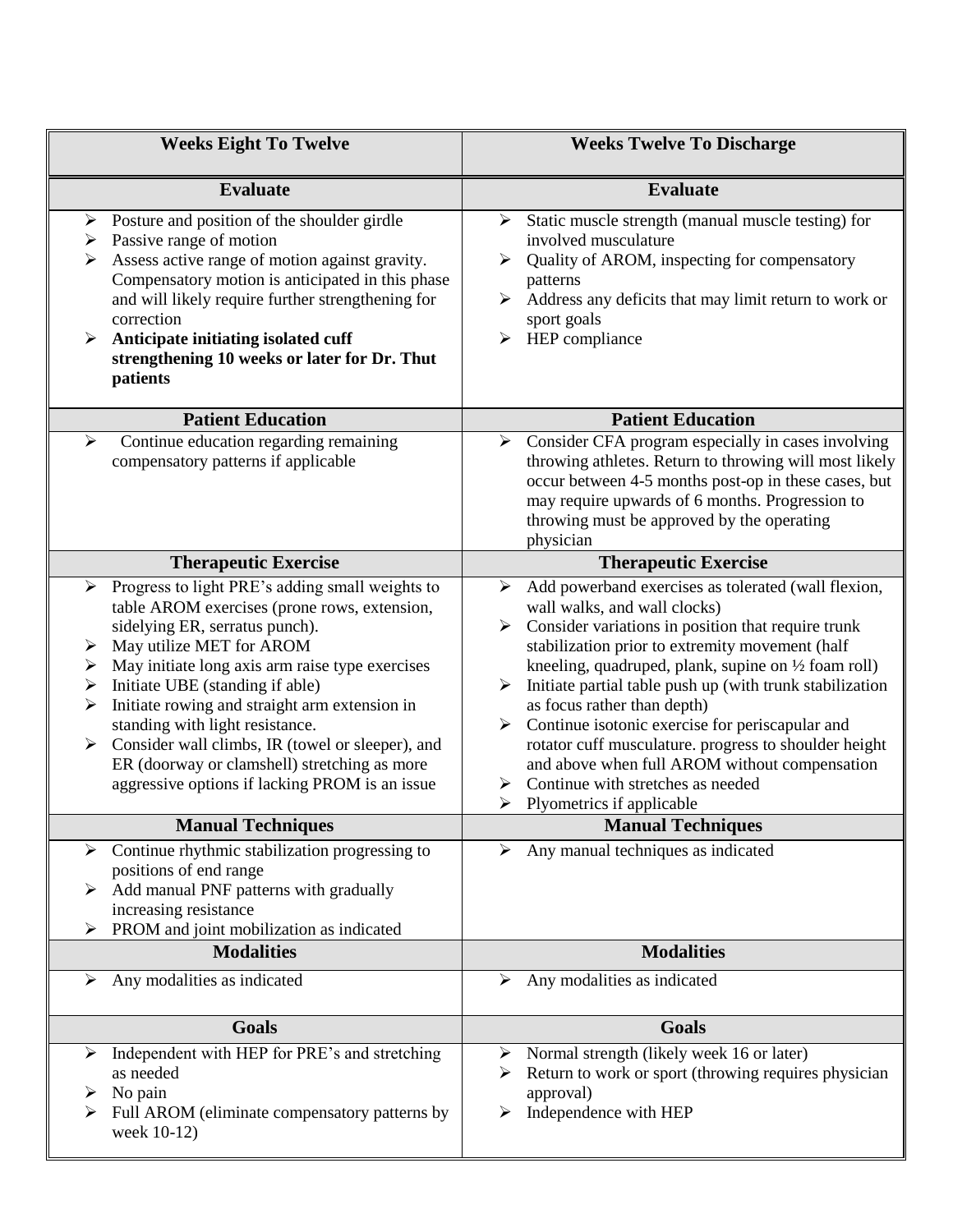| <b>Weeks Eight To Twelve</b>                                                                                                                                                                                                                                                                                                                                                                                                                                                                                                                    | <b>Weeks Twelve To Discharge</b>                                                                                                                                                                                                                                                                                                                                                                                                                                                                                                                                                         |
|-------------------------------------------------------------------------------------------------------------------------------------------------------------------------------------------------------------------------------------------------------------------------------------------------------------------------------------------------------------------------------------------------------------------------------------------------------------------------------------------------------------------------------------------------|------------------------------------------------------------------------------------------------------------------------------------------------------------------------------------------------------------------------------------------------------------------------------------------------------------------------------------------------------------------------------------------------------------------------------------------------------------------------------------------------------------------------------------------------------------------------------------------|
| <b>Evaluate</b>                                                                                                                                                                                                                                                                                                                                                                                                                                                                                                                                 | <b>Evaluate</b>                                                                                                                                                                                                                                                                                                                                                                                                                                                                                                                                                                          |
| Posture and position of the shoulder girdle<br>➤<br>Passive range of motion<br>≻<br>Assess active range of motion against gravity.<br>➤<br>Compensatory motion is anticipated in this phase<br>and will likely require further strengthening for<br>correction<br>Anticipate initiating isolated cuff<br>≻<br>strengthening 10 weeks or later for Dr. Thut<br>patients                                                                                                                                                                          | Static muscle strength (manual muscle testing) for<br>➤<br>involved musculature<br>Quality of AROM, inspecting for compensatory<br>➤<br>patterns<br>Address any deficits that may limit return to work or<br>sport goals<br>HEP compliance<br>➤                                                                                                                                                                                                                                                                                                                                          |
| <b>Patient Education</b>                                                                                                                                                                                                                                                                                                                                                                                                                                                                                                                        | <b>Patient Education</b>                                                                                                                                                                                                                                                                                                                                                                                                                                                                                                                                                                 |
| Continue education regarding remaining<br>≻<br>compensatory patterns if applicable                                                                                                                                                                                                                                                                                                                                                                                                                                                              | Consider CFA program especially in cases involving<br>≻<br>throwing athletes. Return to throwing will most likely<br>occur between 4-5 months post-op in these cases, but<br>may require upwards of 6 months. Progression to<br>throwing must be approved by the operating<br>physician                                                                                                                                                                                                                                                                                                  |
| <b>Therapeutic Exercise</b>                                                                                                                                                                                                                                                                                                                                                                                                                                                                                                                     | <b>Therapeutic Exercise</b>                                                                                                                                                                                                                                                                                                                                                                                                                                                                                                                                                              |
| Progress to light PRE's adding small weights to<br>➤<br>table AROM exercises (prone rows, extension,<br>sidelying ER, serratus punch).<br>May utilize MET for AROM<br>➤<br>May initiate long axis arm raise type exercises<br>➤<br>Initiate UBE (standing if able)<br>➤<br>Initiate rowing and straight arm extension in<br>➤<br>standing with light resistance.<br>Consider wall climbs, IR (towel or sleeper), and<br>$\blacktriangleright$<br>ER (doorway or clamshell) stretching as more<br>aggressive options if lacking PROM is an issue | Add powerband exercises as tolerated (wall flexion,<br>➤<br>wall walks, and wall clocks)<br>Consider variations in position that require trunk<br>stabilization prior to extremity movement (half<br>kneeling, quadruped, plank, supine on 1/2 foam roll)<br>Initiate partial table push up (with trunk stabilization<br>as focus rather than depth)<br>Continue isotonic exercise for periscapular and<br>rotator cuff musculature. progress to shoulder height<br>and above when full AROM without compensation<br>Continue with stretches as needed<br>Plyometrics if applicable<br>➤ |
| <b>Manual Techniques</b>                                                                                                                                                                                                                                                                                                                                                                                                                                                                                                                        | <b>Manual Techniques</b>                                                                                                                                                                                                                                                                                                                                                                                                                                                                                                                                                                 |
| Continue rhythmic stabilization progressing to<br>➤<br>positions of end range<br>Add manual PNF patterns with gradually<br>➤<br>increasing resistance<br>PROM and joint mobilization as indicated                                                                                                                                                                                                                                                                                                                                               | Any manual techniques as indicated<br>➤                                                                                                                                                                                                                                                                                                                                                                                                                                                                                                                                                  |
| <b>Modalities</b>                                                                                                                                                                                                                                                                                                                                                                                                                                                                                                                               | <b>Modalities</b>                                                                                                                                                                                                                                                                                                                                                                                                                                                                                                                                                                        |
| Any modalities as indicated<br>➤                                                                                                                                                                                                                                                                                                                                                                                                                                                                                                                | Any modalities as indicated<br>➤                                                                                                                                                                                                                                                                                                                                                                                                                                                                                                                                                         |
| <b>Goals</b>                                                                                                                                                                                                                                                                                                                                                                                                                                                                                                                                    | <b>Goals</b>                                                                                                                                                                                                                                                                                                                                                                                                                                                                                                                                                                             |
| Independent with HEP for PRE's and stretching<br>➤<br>as needed<br>No pain<br>➤<br>Full AROM (eliminate compensatory patterns by<br>➤<br>week 10-12)                                                                                                                                                                                                                                                                                                                                                                                            | Normal strength (likely week 16 or later)<br>➤<br>Return to work or sport (throwing requires physician<br>approval)<br>Independence with HEP<br>➤                                                                                                                                                                                                                                                                                                                                                                                                                                        |